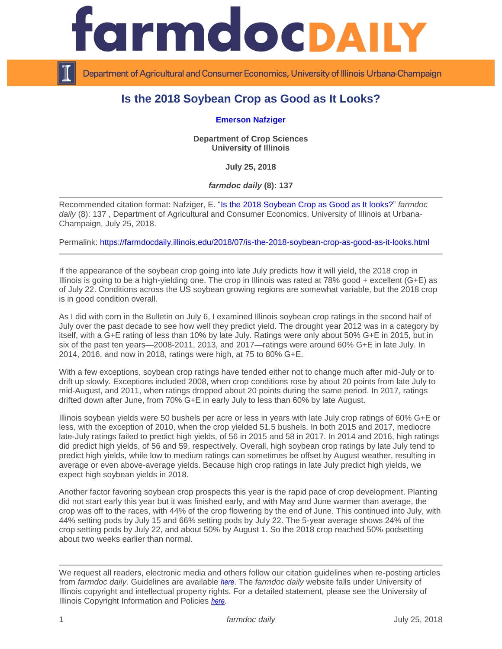

Department of Agricultural and Consumer Economics, University of Illinois Urbana-Champaign

## **Is the 2018 Soybean Crop as Good as It Looks?**

## **[Emerson Nafziger](https://cropsciences.illinois.edu/people/profile/ednaf)**

**Department of Crop Sciences University of Illinois**

**July 25, 2018**

*farmdoc daily* **(8): 137**

Recommended citation format: Nafziger, E. ["Is the 2018 Soybean Crop as Good as It looks?"](https://farmdocdaily.illinois.edu/2018/07/is-the-2018-soybean-crop-as-good-as-it-looks.html) *farmdoc daily* (8): 137 , Department of Agricultural and Consumer Economics, University of Illinois at Urbana-Champaign, July 25, 2018.

Permalink:<https://farmdocdaily.illinois.edu/2018/07/is-the-2018-soybean-crop-as-good-as-it-looks.html>

If the appearance of the soybean crop going into late July predicts how it will yield, the 2018 crop in Illinois is going to be a high-yielding one. The crop in Illinois was rated at 78% good + excellent (G+E) as of July 22. Conditions across the US soybean growing regions are somewhat variable, but the 2018 crop is in good condition overall.

As I did with corn in the Bulletin on July 6, I examined Illinois soybean crop ratings in the second half of July over the past decade to see how well they predict yield. The drought year 2012 was in a category by itself, with a G+E rating of less than 10% by late July. Ratings were only about 50% G+E in 2015, but in six of the past ten years—2008-2011, 2013, and 2017—ratings were around 60% G+E in late July. In 2014, 2016, and now in 2018, ratings were high, at 75 to 80% G+E.

With a few exceptions, soybean crop ratings have tended either not to change much after mid-July or to drift up slowly. Exceptions included 2008, when crop conditions rose by about 20 points from late July to mid-August, and 2011, when ratings dropped about 20 points during the same period. In 2017, ratings drifted down after June, from 70% G+E in early July to less than 60% by late August.

Illinois soybean yields were 50 bushels per acre or less in years with late July crop ratings of 60% G+E or less, with the exception of 2010, when the crop yielded 51.5 bushels. In both 2015 and 2017, mediocre late-July ratings failed to predict high yields, of 56 in 2015 and 58 in 2017. In 2014 and 2016, high ratings did predict high yields, of 56 and 59, respectively. Overall, high soybean crop ratings by late July tend to predict high yields, while low to medium ratings can sometimes be offset by August weather, resulting in average or even above-average yields. Because high crop ratings in late July predict high yields, we expect high soybean yields in 2018.

Another factor favoring soybean crop prospects this year is the rapid pace of crop development. Planting did not start early this year but it was finished early, and with May and June warmer than average, the crop was off to the races, with 44% of the crop flowering by the end of June. This continued into July, with 44% setting pods by July 15 and 66% setting pods by July 22. The 5-year average shows 24% of the crop setting pods by July 22, and about 50% by August 1. So the 2018 crop reached 50% podsetting about two weeks earlier than normal.

We request all readers, electronic media and others follow our citation guidelines when re-posting articles from *farmdoc daily*. Guidelines are available *[here](http://farmdocdaily.illinois.edu/citationguide.html)*. The *farmdoc daily* website falls under University of Illinois copyright and intellectual property rights. For a detailed statement, please see the University of Illinois Copyright Information and Policies *[here](http://www.cio.illinois.edu/policies/copyright/)*.